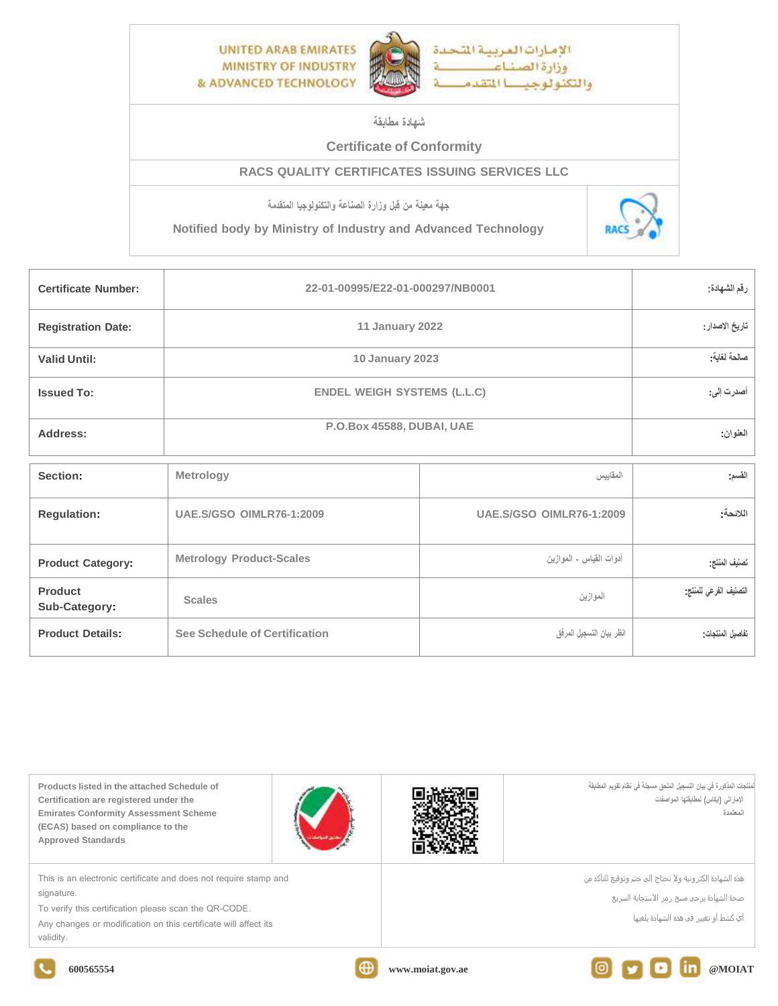

## **شهادة مطابقة**

## **Certificate of Conformity**

## **RACS QUALITY CERTIFICATES ISSUING SERVICES LLC**

**جهة معينة من قبل وزارة الصناعة والتكنولوجيا المتقدمة**

**Notified body by Ministry of Industry and Advanced Technology**



| <b>Certificate Number:</b>      | 22-01-00995/E22-01-000297/NB0001   | رقم الشهادة:                    |                        |
|---------------------------------|------------------------------------|---------------------------------|------------------------|
| <b>Registration Date:</b>       | 11 January 2022                    | تاريخ الاصدار :                 |                        |
| <b>Valid Until:</b>             | 10 January 2023                    | صالحة لغاية:                    |                        |
| <b>Issued To:</b>               | <b>ENDEL WEIGH SYSTEMS (L.L.C)</b> | أصدرت إلى:                      |                        |
| Address:                        | P.O.Box 45588, DUBAI, UAE          | العنوان                         |                        |
| Section:                        | Metrology                          | المقاييس                        | القسم                  |
| <b>Regulation:</b>              | <b>UAE.S/GSO OIMLR76-1:2009</b>    | <b>UAE.S/GSO OIMLR76-1:2009</b> | اللائحة:               |
| <b>Product Category:</b>        | <b>Metrology Product-Scales</b>    | أدوات القياس - الموازين         | تصنيف المنتج           |
| <b>Product</b><br>Sub-Category: | <b>Scales</b>                      | الموازين                        | التصنيف الفرعى للمنتج: |
| <b>Product Details:</b>         | See Schedule of Certification      | انظر بيان التسجيل المرفق        | تفاصيل المنتجات        |